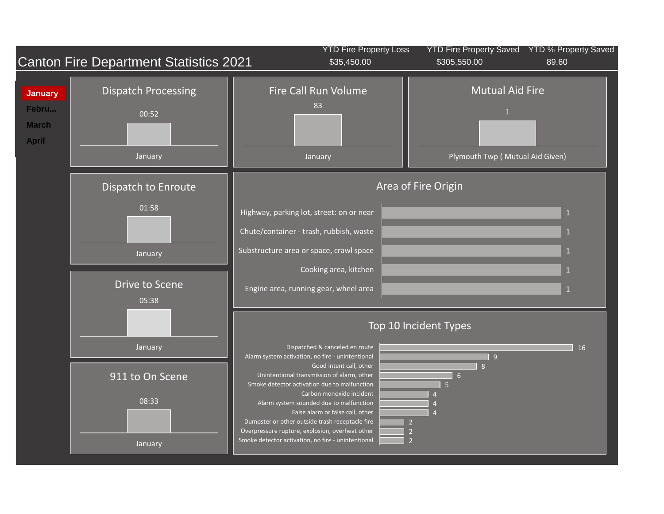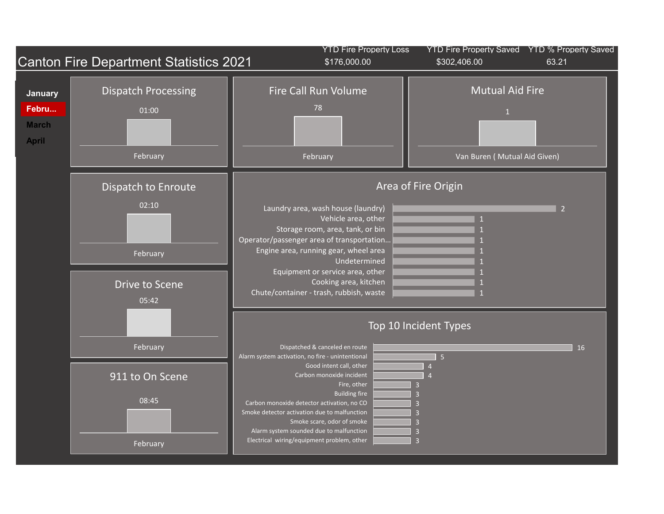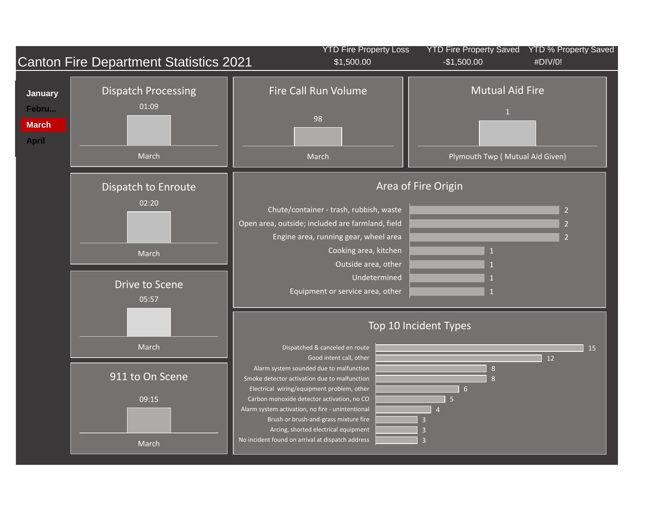